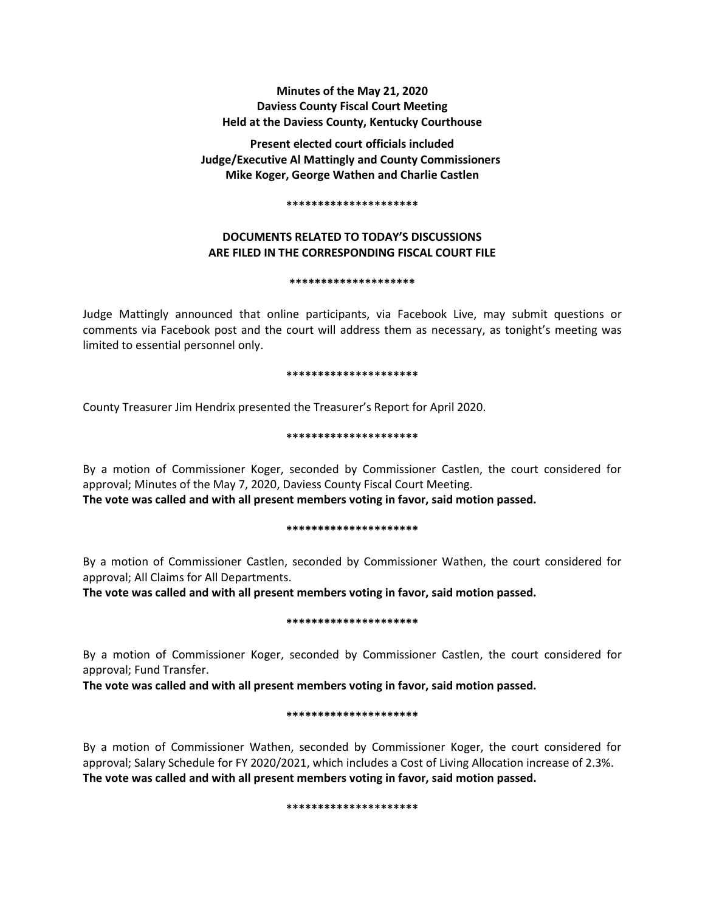# **Minutes of the May 21, 2020 Daviess County Fiscal Court Meeting Held at the Daviess County, Kentucky Courthouse**

**Present elected court officials included Judge/Executive Al Mattingly and County Commissioners Mike Koger, George Wathen and Charlie Castlen**

#### **\*\*\*\*\*\*\*\*\*\*\*\*\*\*\*\*\*\*\*\*\***

# **DOCUMENTS RELATED TO TODAY'S DISCUSSIONS ARE FILED IN THE CORRESPONDING FISCAL COURT FILE**

#### **\*\*\*\*\*\*\*\*\*\*\*\*\*\*\*\*\*\*\*\***

Judge Mattingly announced that online participants, via Facebook Live, may submit questions or comments via Facebook post and the court will address them as necessary, as tonight's meeting was limited to essential personnel only.

#### **\*\*\*\*\*\*\*\*\*\*\*\*\*\*\*\*\*\*\*\*\***

County Treasurer Jim Hendrix presented the Treasurer's Report for April 2020.

### **\*\*\*\*\*\*\*\*\*\*\*\*\*\*\*\*\*\*\*\*\***

By a motion of Commissioner Koger, seconded by Commissioner Castlen, the court considered for approval; Minutes of the May 7, 2020, Daviess County Fiscal Court Meeting. **The vote was called and with all present members voting in favor, said motion passed.**

#### **\*\*\*\*\*\*\*\*\*\*\*\*\*\*\*\*\*\*\*\*\***

By a motion of Commissioner Castlen, seconded by Commissioner Wathen, the court considered for approval; All Claims for All Departments.

**The vote was called and with all present members voting in favor, said motion passed.**

#### **\*\*\*\*\*\*\*\*\*\*\*\*\*\*\*\*\*\*\*\*\***

By a motion of Commissioner Koger, seconded by Commissioner Castlen, the court considered for approval; Fund Transfer.

**The vote was called and with all present members voting in favor, said motion passed.**

#### **\*\*\*\*\*\*\*\*\*\*\*\*\*\*\*\*\*\*\*\*\***

By a motion of Commissioner Wathen, seconded by Commissioner Koger, the court considered for approval; Salary Schedule for FY 2020/2021, which includes a Cost of Living Allocation increase of 2.3%. **The vote was called and with all present members voting in favor, said motion passed.**

#### **\*\*\*\*\*\*\*\*\*\*\*\*\*\*\*\*\*\*\*\*\***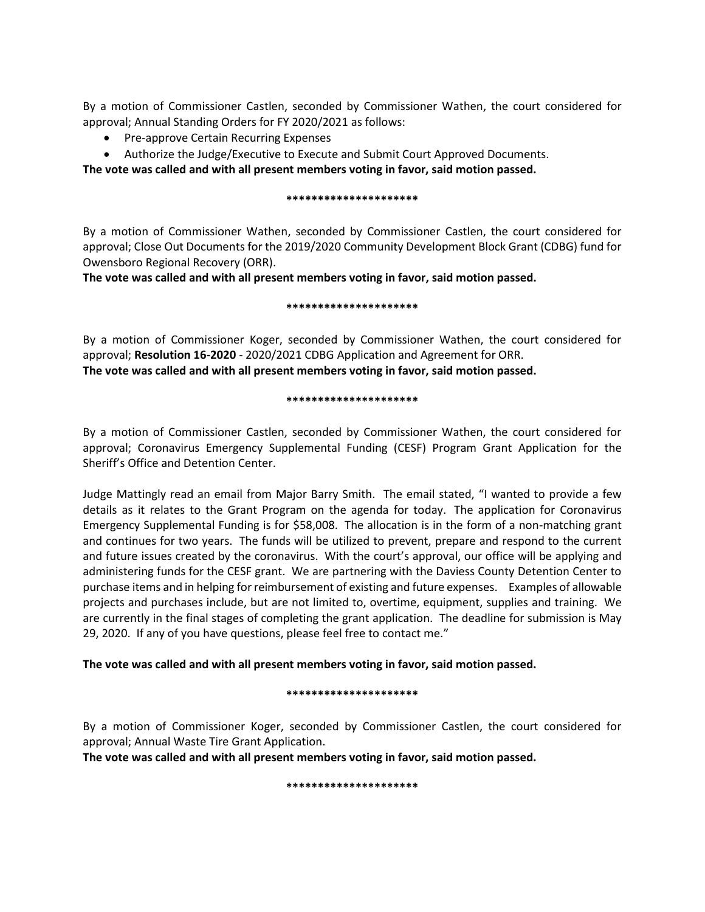By a motion of Commissioner Castlen, seconded by Commissioner Wathen, the court considered for approval; Annual Standing Orders for FY 2020/2021 as follows:

- Pre-approve Certain Recurring Expenses
- Authorize the Judge/Executive to Execute and Submit Court Approved Documents.

**The vote was called and with all present members voting in favor, said motion passed.**

## **\*\*\*\*\*\*\*\*\*\*\*\*\*\*\*\*\*\*\*\*\***

By a motion of Commissioner Wathen, seconded by Commissioner Castlen, the court considered for approval; Close Out Documents for the 2019/2020 Community Development Block Grant (CDBG) fund for Owensboro Regional Recovery (ORR).

**The vote was called and with all present members voting in favor, said motion passed.**

### **\*\*\*\*\*\*\*\*\*\*\*\*\*\*\*\*\*\*\*\*\***

By a motion of Commissioner Koger, seconded by Commissioner Wathen, the court considered for approval; **Resolution 16-2020** - 2020/2021 CDBG Application and Agreement for ORR. **The vote was called and with all present members voting in favor, said motion passed.**

### **\*\*\*\*\*\*\*\*\*\*\*\*\*\*\*\*\*\*\*\*\***

By a motion of Commissioner Castlen, seconded by Commissioner Wathen, the court considered for approval; Coronavirus Emergency Supplemental Funding (CESF) Program Grant Application for the Sheriff's Office and Detention Center.

Judge Mattingly read an email from Major Barry Smith. The email stated, "I wanted to provide a few details as it relates to the Grant Program on the agenda for today. The application for Coronavirus Emergency Supplemental Funding is for \$58,008. The allocation is in the form of a non-matching grant and continues for two years. The funds will be utilized to prevent, prepare and respond to the current and future issues created by the coronavirus. With the court's approval, our office will be applying and administering funds for the CESF grant. We are partnering with the Daviess County Detention Center to purchase items and in helping for reimbursement of existing and future expenses. Examples of allowable projects and purchases include, but are not limited to, overtime, equipment, supplies and training. We are currently in the final stages of completing the grant application. The deadline for submission is May 29, 2020. If any of you have questions, please feel free to contact me."

# **The vote was called and with all present members voting in favor, said motion passed.**

## **\*\*\*\*\*\*\*\*\*\*\*\*\*\*\*\*\*\*\*\*\***

By a motion of Commissioner Koger, seconded by Commissioner Castlen, the court considered for approval; Annual Waste Tire Grant Application.

**The vote was called and with all present members voting in favor, said motion passed.**

#### **\*\*\*\*\*\*\*\*\*\*\*\*\*\*\*\*\*\*\*\*\***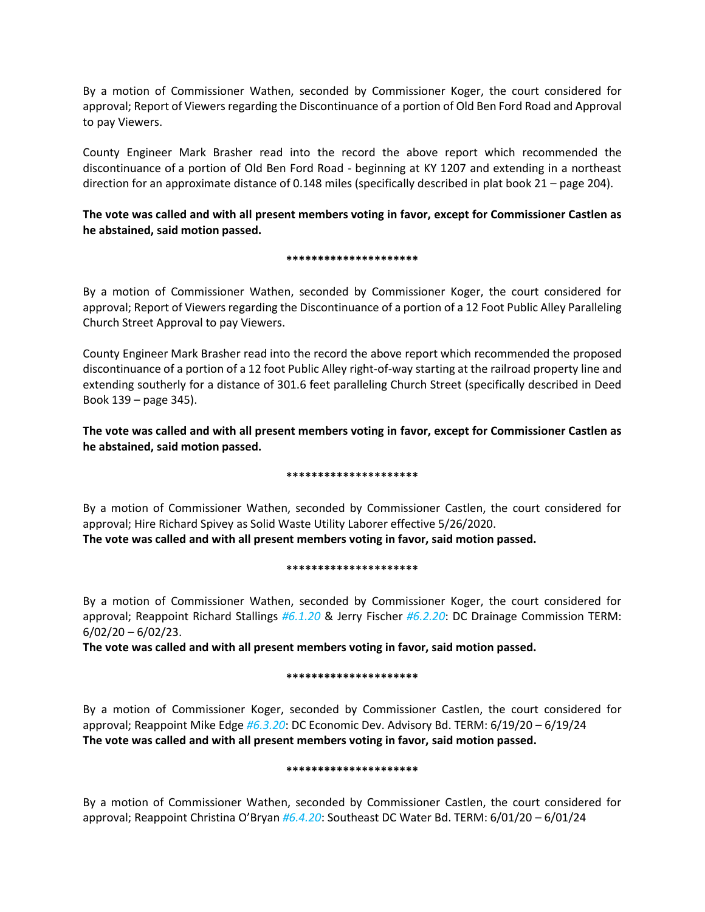By a motion of Commissioner Wathen, seconded by Commissioner Koger, the court considered for approval; Report of Viewers regarding the Discontinuance of a portion of Old Ben Ford Road and Approval to pay Viewers.

County Engineer Mark Brasher read into the record the above report which recommended the discontinuance of a portion of Old Ben Ford Road - beginning at KY 1207 and extending in a northeast direction for an approximate distance of 0.148 miles (specifically described in plat book 21 – page 204).

**The vote was called and with all present members voting in favor, except for Commissioner Castlen as he abstained, said motion passed.**

### **\*\*\*\*\*\*\*\*\*\*\*\*\*\*\*\*\*\*\*\*\***

By a motion of Commissioner Wathen, seconded by Commissioner Koger, the court considered for approval; Report of Viewers regarding the Discontinuance of a portion of a 12 Foot Public Alley Paralleling Church Street Approval to pay Viewers.

County Engineer Mark Brasher read into the record the above report which recommended the proposed discontinuance of a portion of a 12 foot Public Alley right-of-way starting at the railroad property line and extending southerly for a distance of 301.6 feet paralleling Church Street (specifically described in Deed Book 139 – page 345).

**The vote was called and with all present members voting in favor, except for Commissioner Castlen as he abstained, said motion passed.**

## **\*\*\*\*\*\*\*\*\*\*\*\*\*\*\*\*\*\*\*\*\***

By a motion of Commissioner Wathen, seconded by Commissioner Castlen, the court considered for approval; Hire Richard Spivey as Solid Waste Utility Laborer effective 5/26/2020. **The vote was called and with all present members voting in favor, said motion passed.**

#### **\*\*\*\*\*\*\*\*\*\*\*\*\*\*\*\*\*\*\*\*\***

By a motion of Commissioner Wathen, seconded by Commissioner Koger, the court considered for approval; Reappoint Richard Stallings *#6.1.20* & Jerry Fischer *#6.2.20*: DC Drainage Commission TERM:  $6/02/20 - 6/02/23$ .

**The vote was called and with all present members voting in favor, said motion passed.**

## **\*\*\*\*\*\*\*\*\*\*\*\*\*\*\*\*\*\*\*\*\***

By a motion of Commissioner Koger, seconded by Commissioner Castlen, the court considered for approval; Reappoint Mike Edge *#6.3.20*: DC Economic Dev. Advisory Bd. TERM: 6/19/20 – 6/19/24 **The vote was called and with all present members voting in favor, said motion passed.**

#### **\*\*\*\*\*\*\*\*\*\*\*\*\*\*\*\*\*\*\*\*\***

By a motion of Commissioner Wathen, seconded by Commissioner Castlen, the court considered for approval; Reappoint Christina O'Bryan *#6.4.20*: Southeast DC Water Bd. TERM: 6/01/20 – 6/01/24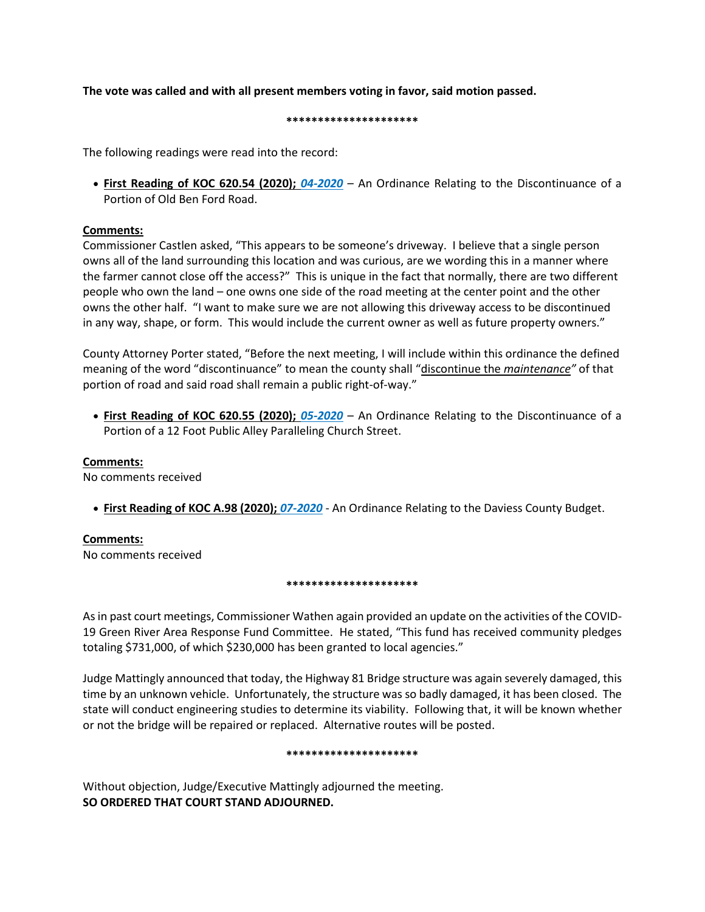# **The vote was called and with all present members voting in favor, said motion passed.**

#### **\*\*\*\*\*\*\*\*\*\*\*\*\*\*\*\*\*\*\*\*\***

The following readings were read into the record:

• **First Reading of KOC 620.54 (2020);** *04-2020* – An Ordinance Relating to the Discontinuance of a Portion of Old Ben Ford Road.

## **Comments:**

Commissioner Castlen asked, "This appears to be someone's driveway. I believe that a single person owns all of the land surrounding this location and was curious, are we wording this in a manner where the farmer cannot close off the access?" This is unique in the fact that normally, there are two different people who own the land – one owns one side of the road meeting at the center point and the other owns the other half. "I want to make sure we are not allowing this driveway access to be discontinued in any way, shape, or form. This would include the current owner as well as future property owners."

County Attorney Porter stated, "Before the next meeting, I will include within this ordinance the defined meaning of the word "discontinuance" to mean the county shall "discontinue the *maintenance"* of that portion of road and said road shall remain a public right-of-way."

• **First Reading of KOC 620.55 (2020);** *05-2020* – An Ordinance Relating to the Discontinuance of a Portion of a 12 Foot Public Alley Paralleling Church Street.

## **Comments:**

No comments received

• **First Reading of KOC A.98 (2020);** *07-2020* - An Ordinance Relating to the Daviess County Budget.

# **Comments:**

No comments received

## **\*\*\*\*\*\*\*\*\*\*\*\*\*\*\*\*\*\*\*\*\***

As in past court meetings, Commissioner Wathen again provided an update on the activities of the COVID-19 Green River Area Response Fund Committee. He stated, "This fund has received community pledges totaling \$731,000, of which \$230,000 has been granted to local agencies."

Judge Mattingly announced that today, the Highway 81 Bridge structure was again severely damaged, this time by an unknown vehicle. Unfortunately, the structure was so badly damaged, it has been closed. The state will conduct engineering studies to determine its viability. Following that, it will be known whether or not the bridge will be repaired or replaced. Alternative routes will be posted.

#### **\*\*\*\*\*\*\*\*\*\*\*\*\*\*\*\*\*\*\*\*\***

Without objection, Judge/Executive Mattingly adjourned the meeting. **SO ORDERED THAT COURT STAND ADJOURNED.**